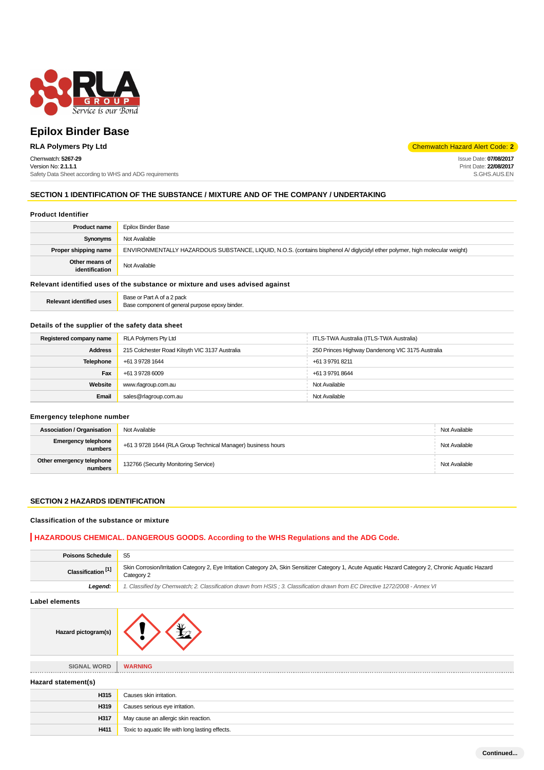

# **Epilox Binder Base**

# Chemwatch: **5267-29**

Version No: **2.1.1.1** Safety Data Sheet according to WHS and ADG requirements

**RLA Polymers Pty Ltd** Code: **2** 

Issue Date: **07/08/2017** Print Date: **22/08/2017** S.GHS.AUS.EN

# **SECTION 1 IDENTIFICATION OF THE SUBSTANCE / MIXTURE AND OF THE COMPANY / UNDERTAKING**

### **Product Identifier**

| <b>Product name</b>                                                           | Epilox Binder Base                                                                                                          |  |
|-------------------------------------------------------------------------------|-----------------------------------------------------------------------------------------------------------------------------|--|
| Synonyms                                                                      | Not Available                                                                                                               |  |
| Proper shipping name                                                          | ENVIRONMENTALLY HAZARDOUS SUBSTANCE, LIQUID, N.O.S. (contains bisphenol A/ diglycidyl ether polymer, high molecular weight) |  |
| Other means of<br>identification                                              | Not Available                                                                                                               |  |
| Relevant identified uses of the substance or mixture and uses advised against |                                                                                                                             |  |
| <b>Relevant identified uses</b>                                               | Base or Part A of a 2 pack<br>Base component of general purpose epoxy binder.                                               |  |

# **Details of the supplier of the safety data sheet**

| <b>RLA Polymers Pty Ltd</b>                    | ITLS-TWA Australia (ITLS-TWA Australia)          |
|------------------------------------------------|--------------------------------------------------|
| 215 Colchester Road Kilsyth VIC 3137 Australia | 250 Princes Highway Dandenong VIC 3175 Australia |
| +61 3 9728 1644                                | +61 3 9791 8211                                  |
| +61 3 9728 6009                                | +61 3 9791 8644                                  |
| www.rlagroup.com.au                            | Not Available                                    |
| sales@rlagroup.com.au                          | Not Available                                    |
|                                                |                                                  |

# **Emergency telephone number**

| <b>Association / Organisation</b>     | Not Available<br>Not Available                               |               |
|---------------------------------------|--------------------------------------------------------------|---------------|
| <b>Emergency telephone</b><br>numbers | +61 3 9728 1644 (RLA Group Technical Manager) business hours | Not Available |
| Other emergency telephone<br>numbers  | 132766 (Security Monitoring Service)                         | Not Available |

### **SECTION 2 HAZARDS IDENTIFICATION**

### **Classification of the substance or mixture**

# **HAZARDOUS CHEMICAL. DANGEROUS GOODS. According to the WHS Regulations and the ADG Code.**

| S <sub>5</sub>                                                                                                                                                      |  |
|---------------------------------------------------------------------------------------------------------------------------------------------------------------------|--|
| Skin Corrosion/Irritation Category 2, Eye Irritation Category 2A, Skin Sensitizer Category 1, Acute Aquatic Hazard Category 2, Chronic Aquatic Hazard<br>Category 2 |  |
| 1. Classified by Chemwatch; 2. Classification drawn from HSIS; 3. Classification drawn from EC Directive 1272/2008 - Annex VI                                       |  |
|                                                                                                                                                                     |  |
|                                                                                                                                                                     |  |
| <b>WARNING</b>                                                                                                                                                      |  |
|                                                                                                                                                                     |  |
| Causes skin irritation.                                                                                                                                             |  |
| Causes serious eye irritation.                                                                                                                                      |  |
| May cause an allergic skin reaction.                                                                                                                                |  |
| Toxic to aquatic life with long lasting effects.                                                                                                                    |  |
|                                                                                                                                                                     |  |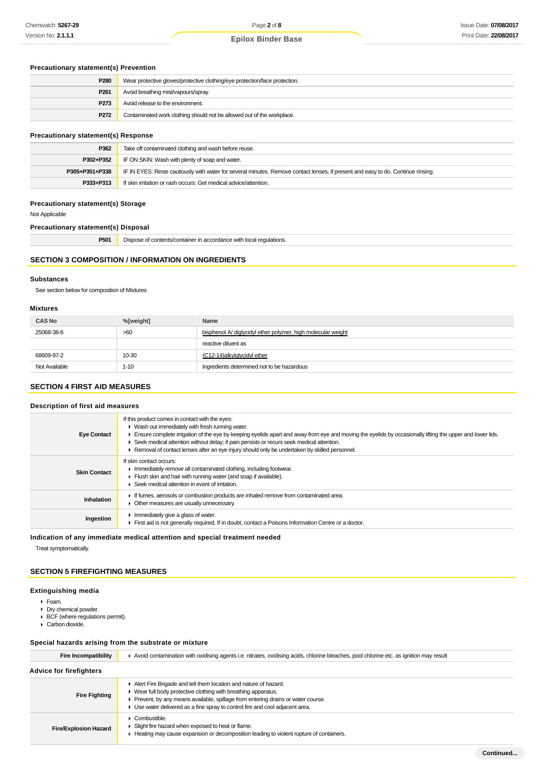# **Precautionary statement(s) Prevention**

| P280             | Wear protective gloves/protective clothing/eye protection/face protection. |
|------------------|----------------------------------------------------------------------------|
| P <sub>261</sub> | Avoid breathing mist/vapours/spray.                                        |
| P273             | Avoid release to the environment.                                          |
| P272             | Contaminated work clothing should not be allowed out of the workplace.     |

# **Precautionary statement(s) Response**

| P362           | Take off contaminated clothing and wash before reuse.                                                                            |
|----------------|----------------------------------------------------------------------------------------------------------------------------------|
| P302+P352      | IF ON SKIN: Wash with plenty of soap and water.                                                                                  |
| P305+P351+P338 | IF IN EYES: Rinse cautiously with water for several minutes. Remove contact lenses, if present and easy to do. Continue rinsing. |
| P333+P313      | If skin irritation or rash occurs: Get medical advice/attention.                                                                 |

### **Precautionary statement(s) Storage**

Not Applicable

### **Precautionary statement(s) Disposal**

| . | nancı<br>a mere<br>צונ<br><b>WIII</b> |
|---|---------------------------------------|
|   |                                       |

# **SECTION 3 COMPOSITION / INFORMATION ON INGREDIENTS**

### **Substances**

See section below for composition of Mixtures

### **Mixtures**

| <b>CAS No</b> | %[weight] | Name                                                         |
|---------------|-----------|--------------------------------------------------------------|
| 25068-38-6    | >60       | bisphenol A/ diglycidyl ether polymer, high molecular weight |
|               |           | reactive diluent as                                          |
| 68609-97-2    | 10-30     | (C12-14)alkylglycidyl ether                                  |
| Not Available | $1 - 10$  | Ingredients determined not to be hazardous                   |

# **SECTION 4 FIRST AID MEASURES**

### **Description of first aid measures**

| <b>Eye Contact</b>  | If this product comes in contact with the eyes:<br>• Wash out immediately with fresh running water.<br>Ensure complete irrigation of the eye by keeping eyelids apart and away from eye and moving the eyelids by occasionally lifting the upper and lower lids.<br>► Seek medical attention without delay; if pain persists or recurs seek medical attention.<br>► Removal of contact lenses after an eye injury should only be undertaken by skilled personnel. |
|---------------------|-------------------------------------------------------------------------------------------------------------------------------------------------------------------------------------------------------------------------------------------------------------------------------------------------------------------------------------------------------------------------------------------------------------------------------------------------------------------|
| <b>Skin Contact</b> | If skin contact occurs:<br>In mediately remove all contaminated clothing, including footwear.<br>Flush skin and hair with running water (and soap if available).<br>▶ Seek medical attention in event of irritation.                                                                                                                                                                                                                                              |
| <b>Inhalation</b>   | If fumes, aerosols or combustion products are inhaled remove from contaminated area.<br>Other measures are usually unnecessary.                                                                                                                                                                                                                                                                                                                                   |
| Ingestion           | $\blacktriangleright$ Immediately give a glass of water.<br>First aid is not generally required. If in doubt, contact a Poisons Information Centre or a doctor.                                                                                                                                                                                                                                                                                                   |
|                     |                                                                                                                                                                                                                                                                                                                                                                                                                                                                   |

**Indication of any immediate medical attention and special treatment needed**

Treat symptomatically.

# **SECTION 5 FIREFIGHTING MEASURES**

# **Extinguishing media**

- Foam.
- Dry chemical powder.
- BCF (where regulations permit).
- Carbon dioxide.

### **Special hazards arising from the substrate or mixture**

| Fire Incompatibility           | Avoid contamination with oxidising agents i.e. nitrates, oxidising acids, chlorine bleaches, pool chlorine etc. as ignition may result                                                                                                                                                                  |  |
|--------------------------------|---------------------------------------------------------------------------------------------------------------------------------------------------------------------------------------------------------------------------------------------------------------------------------------------------------|--|
| <b>Advice for firefighters</b> |                                                                                                                                                                                                                                                                                                         |  |
| <b>Fire Fighting</b>           | Alert Fire Brigade and tell them location and nature of hazard.<br>• Wear full body protective clothing with breathing apparatus.<br>• Prevent, by any means available, spillage from entering drains or water course.<br>• Use water delivered as a fine spray to control fire and cool adjacent area. |  |
| <b>Fire/Explosion Hazard</b>   | $\triangleright$ Combustible.<br>Slight fire hazard when exposed to heat or flame.<br>► Heating may cause expansion or decomposition leading to violent rupture of containers.                                                                                                                          |  |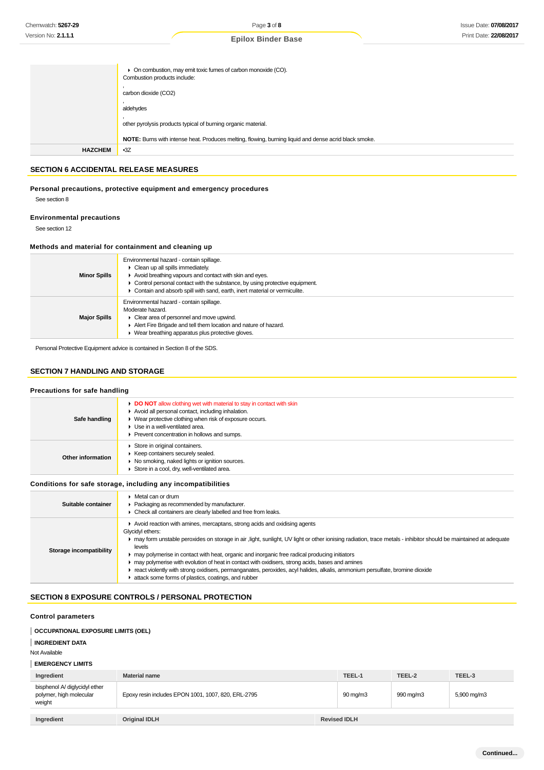|                | • On combustion, may emit toxic fumes of carbon monoxide (CO).<br>Combustion products include:<br>carbon dioxide (CO2) |
|----------------|------------------------------------------------------------------------------------------------------------------------|
|                | aldehydes                                                                                                              |
|                | other pyrolysis products typical of burning organic material.                                                          |
|                | NOTE: Burns with intense heat. Produces melting, flowing, burning liquid and dense acrid black smoke.                  |
| <b>HAZCHEM</b> | $-3Z$                                                                                                                  |

# **SECTION 6 ACCIDENTAL RELEASE MEASURES**

### **Personal precautions, protective equipment and emergency procedures**

See section 8

### **Environmental precautions**

See section 12

### **Methods and material for containment and cleaning up**

| <b>Minor Spills</b> | Environmental hazard - contain spillage.<br>$\triangleright$ Clean up all spills immediately.<br>Avoid breathing vapours and contact with skin and eyes.<br>$\triangleright$ Control personal contact with the substance, by using protective equipment.<br>Contain and absorb spill with sand, earth, inert material or vermiculite. |
|---------------------|---------------------------------------------------------------------------------------------------------------------------------------------------------------------------------------------------------------------------------------------------------------------------------------------------------------------------------------|
| <b>Major Spills</b> | Environmental hazard - contain spillage.<br>Moderate hazard.<br>• Clear area of personnel and move upwind.<br>Alert Fire Brigade and tell them location and nature of hazard.<br>• Wear breathing apparatus plus protective gloves.                                                                                                   |

Personal Protective Equipment advice is contained in Section 8 of the SDS.

# **SECTION 7 HANDLING AND STORAGE**

### **Precautions for safe handling**

| Safe handling     | • DO NOT allow clothing wet with material to stay in contact with skin<br>Avoid all personal contact, including inhalation.<br>• Wear protective clothing when risk of exposure occurs.<br>$\blacktriangleright$ Use in a well-ventilated area.<br>▶ Prevent concentration in hollows and sumps. |
|-------------------|--------------------------------------------------------------------------------------------------------------------------------------------------------------------------------------------------------------------------------------------------------------------------------------------------|
| Other information | Store in original containers.<br>▶ Keep containers securely sealed.<br>▶ No smoking, naked lights or ignition sources.<br>Store in a cool, dry, well-ventilated area.                                                                                                                            |

# **Conditions for safe storage, including any incompatibilities**

| Suitable container      | $\blacktriangleright$ Metal can or drum<br>▶ Packaging as recommended by manufacturer.<br>• Check all containers are clearly labelled and free from leaks.                                                                                                                                                                                                                                                                                                                                                                                                                                                                                                             |
|-------------------------|------------------------------------------------------------------------------------------------------------------------------------------------------------------------------------------------------------------------------------------------------------------------------------------------------------------------------------------------------------------------------------------------------------------------------------------------------------------------------------------------------------------------------------------------------------------------------------------------------------------------------------------------------------------------|
| Storage incompatibility | Avoid reaction with amines, mercaptans, strong acids and oxidising agents<br>Glycidyl ethers:<br>may form unstable peroxides on storage in air ,light, sunlight, UV light or other ionising radiation, trace metals - inhibitor should be maintained at adequate<br>levels<br>may polymerise in contact with heat, organic and inorganic free radical producing initiators<br>may polymerise with evolution of heat in contact with oxidisers, strong acids, bases and amines<br>F react violently with strong oxidisers, permanganates, peroxides, acyl halides, alkalis, ammonium persulfate, bromine dioxide<br>attack some forms of plastics, coatings, and rubber |

# **SECTION 8 EXPOSURE CONTROLS / PERSONAL PROTECTION**

# **Control parameters**

### **OCCUPATIONAL EXPOSURE LIMITS (OEL)**

**INGREDIENT DATA**

Not Available

# **EMERGENCY LIMITS**

| Ingredient                                                         | <b>Material name</b>                                | TEEL-1              | TEEL-2    | TEEL-3      |
|--------------------------------------------------------------------|-----------------------------------------------------|---------------------|-----------|-------------|
| bisphenol A/ diglycidyl ether<br>polymer, high molecular<br>weight | Epoxy resin includes EPON 1001, 1007, 820, ERL-2795 | $90 \text{ mg/m}$   | 990 mg/m3 | 5,900 mg/m3 |
|                                                                    |                                                     |                     |           |             |
| Ingredient                                                         | <b>Original IDLH</b>                                | <b>Revised IDLH</b> |           |             |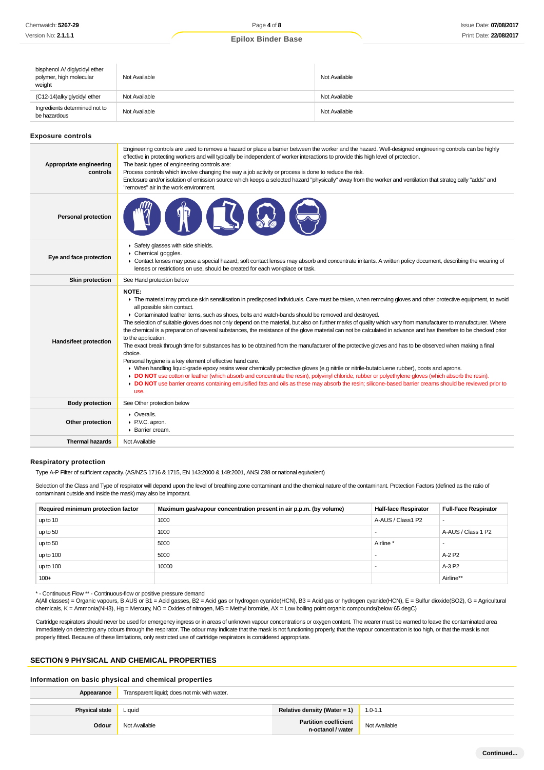| bisphenol A/ diglycidyl ether<br>polymer, high molecular<br>weight | Not Available                                                                                                                                                                                                                                                                                                                                                                                                                                                                                                                                                                                                                                                                                                                                                                                                                                                                                 | Not Available                                                                                                                                                                                                                                                                                                                                                                                                                                                                           |  |  |
|--------------------------------------------------------------------|-----------------------------------------------------------------------------------------------------------------------------------------------------------------------------------------------------------------------------------------------------------------------------------------------------------------------------------------------------------------------------------------------------------------------------------------------------------------------------------------------------------------------------------------------------------------------------------------------------------------------------------------------------------------------------------------------------------------------------------------------------------------------------------------------------------------------------------------------------------------------------------------------|-----------------------------------------------------------------------------------------------------------------------------------------------------------------------------------------------------------------------------------------------------------------------------------------------------------------------------------------------------------------------------------------------------------------------------------------------------------------------------------------|--|--|
| (C12-14)alkylglycidyl ether                                        | Not Available                                                                                                                                                                                                                                                                                                                                                                                                                                                                                                                                                                                                                                                                                                                                                                                                                                                                                 | Not Available                                                                                                                                                                                                                                                                                                                                                                                                                                                                           |  |  |
| Ingredients determined not to<br>be hazardous                      | Not Available                                                                                                                                                                                                                                                                                                                                                                                                                                                                                                                                                                                                                                                                                                                                                                                                                                                                                 | Not Available                                                                                                                                                                                                                                                                                                                                                                                                                                                                           |  |  |
| Exposure controls                                                  |                                                                                                                                                                                                                                                                                                                                                                                                                                                                                                                                                                                                                                                                                                                                                                                                                                                                                               |                                                                                                                                                                                                                                                                                                                                                                                                                                                                                         |  |  |
| Appropriate engineering<br>controls                                | Engineering controls are used to remove a hazard or place a barrier between the worker and the hazard. Well-designed engineering controls can be highly<br>effective in protecting workers and will typically be independent of worker interactions to provide this high level of protection.<br>The basic types of engineering controls are:<br>Process controls which involve changing the way a job activity or process is done to reduce the risk.<br>Enclosure and/or isolation of emission source which keeps a selected hazard "physically" away from the worker and ventilation that strategically "adds" and<br>"removes" air in the work environment.                                                                                                                                                                                                                               |                                                                                                                                                                                                                                                                                                                                                                                                                                                                                         |  |  |
| <b>Personal protection</b>                                         |                                                                                                                                                                                                                                                                                                                                                                                                                                                                                                                                                                                                                                                                                                                                                                                                                                                                                               |                                                                                                                                                                                                                                                                                                                                                                                                                                                                                         |  |  |
| Eye and face protection                                            | ▶ Safety glasses with side shields.<br>$\triangleright$ Chemical goggles.<br>► Contact lenses may pose a special hazard; soft contact lenses may absorb and concentrate irritants. A written policy document, describing the wearing of<br>lenses or restrictions on use, should be created for each workplace or task.                                                                                                                                                                                                                                                                                                                                                                                                                                                                                                                                                                       |                                                                                                                                                                                                                                                                                                                                                                                                                                                                                         |  |  |
| <b>Skin protection</b>                                             | See Hand protection below                                                                                                                                                                                                                                                                                                                                                                                                                                                                                                                                                                                                                                                                                                                                                                                                                                                                     |                                                                                                                                                                                                                                                                                                                                                                                                                                                                                         |  |  |
| Hands/feet protection                                              | <b>NOTE:</b><br>all possible skin contact.<br>• Contaminated leather items, such as shoes, belts and watch-bands should be removed and destroyed.<br>The selection of suitable gloves does not only depend on the material, but also on further marks of quality which vary from manufacturer to manufacturer. Where<br>to the application.<br>The exact break through time for substances has to be obtained from the manufacturer of the protective gloves and has to be observed when making a final<br>choice.<br>Personal hygiene is a key element of effective hand care.<br>• When handling liquid-grade epoxy resins wear chemically protective gloves (e.g nitrile or nitrile-butatoluene rubber), boots and aprons.<br>► DO NOT use cotton or leather (which absorb and concentrate the resin), polyvinyl chloride, rubber or polyethylene gloves (which absorb the resin).<br>use. | The material may produce skin sensitisation in predisposed individuals. Care must be taken, when removing gloves and other protective equipment, to avoid<br>the chemical is a preparation of several substances, the resistance of the glove material can not be calculated in advance and has therefore to be checked prior<br>DO NOT use barrier creams containing emulsified fats and oils as these may absorb the resin; silicone-based barrier creams should be reviewed prior to |  |  |
| <b>Body protection</b>                                             | See Other protection below                                                                                                                                                                                                                                                                                                                                                                                                                                                                                                                                                                                                                                                                                                                                                                                                                                                                    |                                                                                                                                                                                                                                                                                                                                                                                                                                                                                         |  |  |
| Other protection                                                   | • Overalls.<br>▶ P.V.C. apron.<br>▶ Barrier cream.                                                                                                                                                                                                                                                                                                                                                                                                                                                                                                                                                                                                                                                                                                                                                                                                                                            |                                                                                                                                                                                                                                                                                                                                                                                                                                                                                         |  |  |
| <b>Thermal hazards</b>                                             | Not Available                                                                                                                                                                                                                                                                                                                                                                                                                                                                                                                                                                                                                                                                                                                                                                                                                                                                                 |                                                                                                                                                                                                                                                                                                                                                                                                                                                                                         |  |  |

### **Respiratory protection**

Type A-P Filter of sufficient capacity. (AS/NZS 1716 & 1715, EN 143:2000 & 149:2001, ANSI Z88 or national equivalent)

Selection of the Class and Type of respirator will depend upon the level of breathing zone contaminant and the chemical nature of the contaminant. Protection Factors (defined as the ratio of contaminant outside and inside the mask) may also be important.

| Required minimum protection factor | Maximum gas/vapour concentration present in air p.p.m. (by volume) | <b>Half-face Respirator</b> | <b>Full-Face Respirator</b> |
|------------------------------------|--------------------------------------------------------------------|-----------------------------|-----------------------------|
| up to 10                           | 1000                                                               | A-AUS / Class1 P2           |                             |
| up to 50                           | 1000                                                               |                             | A-AUS / Class 1 P2          |
| up to 50                           | 5000                                                               | Airline *                   |                             |
| up to 100                          | 5000                                                               |                             | A-2 P2                      |
| up to 100                          | 10000                                                              |                             | A-3 P2                      |
| $100+$                             |                                                                    |                             | Airline**                   |

\* - Continuous Flow \*\* - Continuous-flow or positive pressure demand

A(All classes) = Organic vapours, B AUS or B1 = Acid gasses, B2 = Acid gas or hydrogen cyanide(HCN), B3 = Acid gas or hydrogen cyanide(HCN), E = Sulfur dioxide(SO2), G = Agricultural chemicals, K = Ammonia(NH3), Hg = Mercury, NO = Oxides of nitrogen, MB = Methyl bromide, AX = Low boiling point organic compounds(below 65 degC)

Cartridge respirators should never be used for emergency ingress or in areas of unknown vapour concentrations or oxygen content. The wearer must be warned to leave the contaminated area immediately on detecting any odours through the respirator. The odour may indicate that the mask is not functioning properly, that the vapour concentration is too high, or that the mask is not properly fitted. Because of these limitations, only restricted use of cartridge respirators is considered appropriate.

# **SECTION 9 PHYSICAL AND CHEMICAL PROPERTIES**

### **Information on basic physical and chemical properties**

| Appearance            | Transparent liquid; does not mix with water. |                                                   |               |
|-----------------------|----------------------------------------------|---------------------------------------------------|---------------|
| <b>Physical state</b> | Liauid                                       | Relative density (Water = 1)                      | $1.0 - 1.1$   |
| Odour                 | Not Available                                | <b>Partition coefficient</b><br>n-octanol / water | Not Available |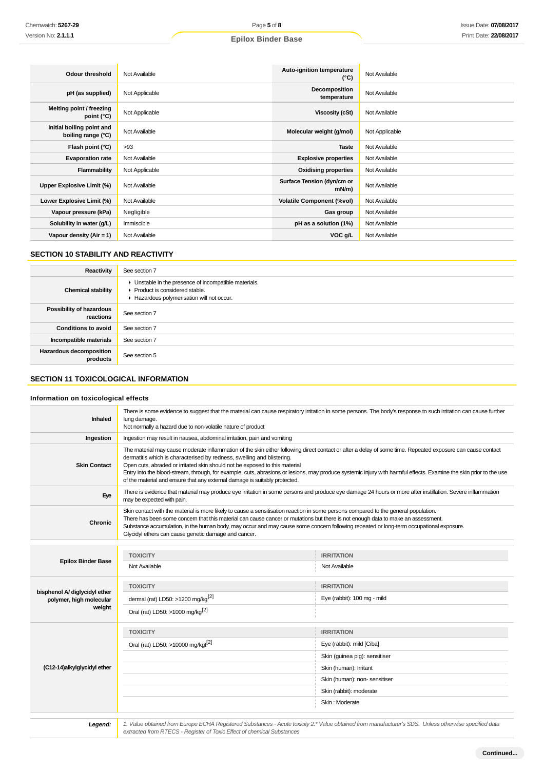# **Epilox Binder Base**

| <b>Odour threshold</b>                          | Not Available  | Auto-ignition temperature<br>(°C)      | Not Available  |
|-------------------------------------------------|----------------|----------------------------------------|----------------|
| pH (as supplied)                                | Not Applicable | Decomposition<br>temperature           | Not Available  |
| Melting point / freezing<br>point $(^{\circ}C)$ | Not Applicable | Viscosity (cSt)                        | Not Available  |
| Initial boiling point and<br>boiling range (°C) | Not Available  | Molecular weight (g/mol)               | Not Applicable |
| Flash point (°C)                                | >93            | <b>Taste</b>                           | Not Available  |
| <b>Evaporation rate</b>                         | Not Available  | <b>Explosive properties</b>            | Not Available  |
| Flammability                                    | Not Applicable | <b>Oxidising properties</b>            | Not Available  |
| Upper Explosive Limit (%)                       | Not Available  | Surface Tension (dyn/cm or<br>$mN/m$ ) | Not Available  |
| Lower Explosive Limit (%)                       | Not Available  | <b>Volatile Component (%vol)</b>       | Not Available  |
| Vapour pressure (kPa)                           | Negligible     | Gas group                              | Not Available  |
| Solubility in water (g/L)                       | Immiscible     | pH as a solution (1%)                  | Not Available  |
| Vapour density $(Air = 1)$                      | Not Available  | VOC g/L                                | Not Available  |

# **SECTION 10 STABILITY AND REACTIVITY**

| Reactivity                            | See section 7                                                                                                                        |
|---------------------------------------|--------------------------------------------------------------------------------------------------------------------------------------|
| <b>Chemical stability</b>             | • Unstable in the presence of incompatible materials.<br>▶ Product is considered stable.<br>Hazardous polymerisation will not occur. |
| Possibility of hazardous<br>reactions | See section 7                                                                                                                        |
| <b>Conditions to avoid</b>            | See section 7                                                                                                                        |
| Incompatible materials                | See section 7                                                                                                                        |
| Hazardous decomposition<br>products   | See section 5                                                                                                                        |

# **SECTION 11 TOXICOLOGICAL INFORMATION**

### **Information on toxicological effects**

| <b>Inhaled</b>                | There is some evidence to suggest that the material can cause respiratory irritation in some persons. The body's response to such irritation can cause further<br>lung damage.<br>Not normally a hazard due to non-volatile nature of product                                                                                                                                                                                                                                                                                                                            |                               |  |  |
|-------------------------------|--------------------------------------------------------------------------------------------------------------------------------------------------------------------------------------------------------------------------------------------------------------------------------------------------------------------------------------------------------------------------------------------------------------------------------------------------------------------------------------------------------------------------------------------------------------------------|-------------------------------|--|--|
| Ingestion                     | Ingestion may result in nausea, abdominal irritation, pain and vomiting                                                                                                                                                                                                                                                                                                                                                                                                                                                                                                  |                               |  |  |
| <b>Skin Contact</b>           | The material may cause moderate inflammation of the skin either following direct contact or after a delay of some time. Repeated exposure can cause contact<br>dermatitis which is characterised by redness, swelling and blistering.<br>Open cuts, abraded or irritated skin should not be exposed to this material<br>Entry into the blood-stream, through, for example, cuts, abrasions or lesions, may produce systemic injury with harmful effects. Examine the skin prior to the use<br>of the material and ensure that any external damage is suitably protected. |                               |  |  |
| Eye                           | There is evidence that material may produce eye irritation in some persons and produce eye damage 24 hours or more after instillation. Severe inflammation<br>may be expected with pain.                                                                                                                                                                                                                                                                                                                                                                                 |                               |  |  |
| <b>Chronic</b>                | Skin contact with the material is more likely to cause a sensitisation reaction in some persons compared to the general population.<br>There has been some concern that this material can cause cancer or mutations but there is not enough data to make an assessment.<br>Substance accumulation, in the human body, may occur and may cause some concern following repeated or long-term occupational exposure.<br>Glycidyl ethers can cause genetic damage and cancer.                                                                                                |                               |  |  |
|                               |                                                                                                                                                                                                                                                                                                                                                                                                                                                                                                                                                                          |                               |  |  |
| <b>Epilox Binder Base</b>     | <b>TOXICITY</b>                                                                                                                                                                                                                                                                                                                                                                                                                                                                                                                                                          | <b>IRRITATION</b>             |  |  |
|                               | Not Available                                                                                                                                                                                                                                                                                                                                                                                                                                                                                                                                                            | Not Available                 |  |  |
| bisphenol A/ diglycidyl ether | <b>TOXICITY</b>                                                                                                                                                                                                                                                                                                                                                                                                                                                                                                                                                          | <b>IRRITATION</b>             |  |  |
| polymer, high molecular       | dermal (rat) LD50: >1200 mg/kg <sup>[2]</sup>                                                                                                                                                                                                                                                                                                                                                                                                                                                                                                                            | Eye (rabbit): 100 mg - mild   |  |  |
| weight                        | Oral (rat) LD50: >1000 mg/kg <sup>[2]</sup>                                                                                                                                                                                                                                                                                                                                                                                                                                                                                                                              |                               |  |  |
|                               | <b>TOXICITY</b>                                                                                                                                                                                                                                                                                                                                                                                                                                                                                                                                                          | <b>IRRITATION</b>             |  |  |
|                               | Oral (rat) LD50: >10000 mg/kgt <sup>[2]</sup>                                                                                                                                                                                                                                                                                                                                                                                                                                                                                                                            | Eye (rabbit): mild [Ciba]     |  |  |
|                               |                                                                                                                                                                                                                                                                                                                                                                                                                                                                                                                                                                          | Skin (guinea pig): sensitiser |  |  |
| (C12-14)alkylglycidyl ether   |                                                                                                                                                                                                                                                                                                                                                                                                                                                                                                                                                                          | Skin (human): Irritant        |  |  |
|                               |                                                                                                                                                                                                                                                                                                                                                                                                                                                                                                                                                                          | Skin (human): non- sensitiser |  |  |
|                               |                                                                                                                                                                                                                                                                                                                                                                                                                                                                                                                                                                          | Skin (rabbit): moderate       |  |  |
|                               |                                                                                                                                                                                                                                                                                                                                                                                                                                                                                                                                                                          | Skin: Moderate                |  |  |
|                               |                                                                                                                                                                                                                                                                                                                                                                                                                                                                                                                                                                          |                               |  |  |

1. Value obtained from Europe ECHA Registered Substances - Acute toxicity 2.\* Value obtained from manufacturer's SDS. Unless otherwise specified data<br>extracted from RTECS - Register of Toxic Effect of chemical Substances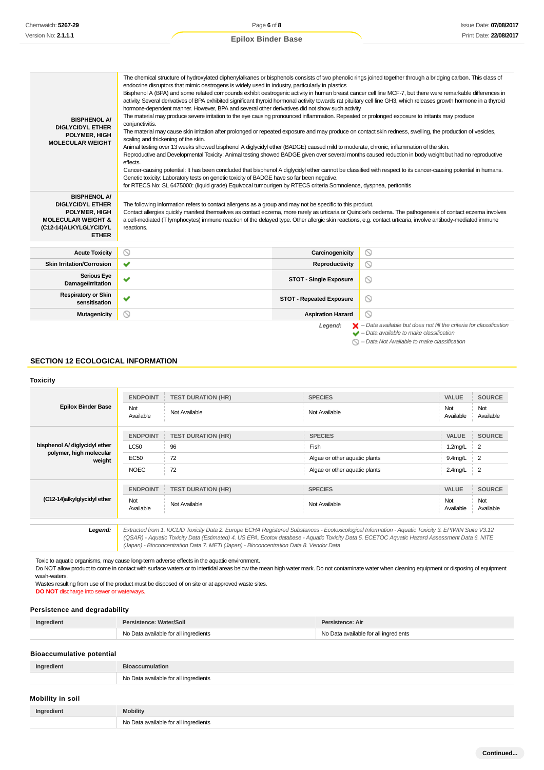| <b>BISPHENOL A/</b><br><b>DIGLYCIDYL ETHER</b><br>POLYMER, HIGH<br><b>MOLECULAR WEIGHT</b>                                                 | The chemical structure of hydroxylated diphenylalkanes or bisphenols consists of two phenolic rings joined together through a bridging carbon. This class of<br>endocrine disruptors that mimic oestrogens is widely used in industry, particularly in plastics<br>Bisphenol A (BPA) and some related compounds exhibit oestrogenic activity in human breast cancer cell line MCF-7, but there were remarkable differences in<br>activity. Several derivatives of BPA exhibited significant thyroid hormonal activity towards rat pituitary cell line GH3, which releases growth hormone in a thyroid<br>hormone-dependent manner. However, BPA and several other derivatives did not show such activity.<br>The material may produce severe irritation to the eye causing pronounced inflammation. Repeated or prolonged exposure to irritants may produce<br>conjunctivitis.<br>The material may cause skin irritation after prolonged or repeated exposure and may produce on contact skin redness, swelling, the production of vesicles,<br>scaling and thickening of the skin.<br>Animal testing over 13 weeks showed bisphenol A diglycidyl ether (BADGE) caused mild to moderate, chronic, inflammation of the skin.<br>Reproductive and Developmental Toxicity: Animal testing showed BADGE given over several months caused reduction in body weight but had no reproductive<br>effects.<br>Cancer-causing potential: It has been concluded that bisphenol A diglycidyl ether cannot be classified with respect to its cancer-causing potential in humans.<br>Genetic toxicity: Laboratory tests on genetic toxicity of BADGE have so far been negative.<br>for RTECS No: SL 6475000: (liquid grade) Equivocal tumourigen by RTECS criteria Somnolence, dyspnea, peritonitis |                                 |                                                                                                                                                                                                                     |
|--------------------------------------------------------------------------------------------------------------------------------------------|---------------------------------------------------------------------------------------------------------------------------------------------------------------------------------------------------------------------------------------------------------------------------------------------------------------------------------------------------------------------------------------------------------------------------------------------------------------------------------------------------------------------------------------------------------------------------------------------------------------------------------------------------------------------------------------------------------------------------------------------------------------------------------------------------------------------------------------------------------------------------------------------------------------------------------------------------------------------------------------------------------------------------------------------------------------------------------------------------------------------------------------------------------------------------------------------------------------------------------------------------------------------------------------------------------------------------------------------------------------------------------------------------------------------------------------------------------------------------------------------------------------------------------------------------------------------------------------------------------------------------------------------------------------------------------------------------------------------------------------------------------------------------------------|---------------------------------|---------------------------------------------------------------------------------------------------------------------------------------------------------------------------------------------------------------------|
| <b>BISPHENOL A/</b><br><b>DIGLYCIDYL ETHER</b><br>POLYMER, HIGH<br><b>MOLECULAR WEIGHT &amp;</b><br>(C12-14) ALKYLGLYCIDYL<br><b>ETHER</b> | The following information refers to contact allergens as a group and may not be specific to this product.<br>Contact allergies quickly manifest themselves as contact eczema, more rarely as urticaria or Quincke's oedema. The pathogenesis of contact eczema involves<br>a cell-mediated (T lymphocytes) immune reaction of the delayed type. Other allergic skin reactions, e.g. contact urticaria, involve antibody-mediated immune<br>reactions.                                                                                                                                                                                                                                                                                                                                                                                                                                                                                                                                                                                                                                                                                                                                                                                                                                                                                                                                                                                                                                                                                                                                                                                                                                                                                                                                 |                                 |                                                                                                                                                                                                                     |
| <b>Acute Toxicity</b>                                                                                                                      | ര                                                                                                                                                                                                                                                                                                                                                                                                                                                                                                                                                                                                                                                                                                                                                                                                                                                                                                                                                                                                                                                                                                                                                                                                                                                                                                                                                                                                                                                                                                                                                                                                                                                                                                                                                                                     | Carcinogenicity                 | $\circledcirc$                                                                                                                                                                                                      |
| <b>Skin Irritation/Corrosion</b>                                                                                                           | ✔                                                                                                                                                                                                                                                                                                                                                                                                                                                                                                                                                                                                                                                                                                                                                                                                                                                                                                                                                                                                                                                                                                                                                                                                                                                                                                                                                                                                                                                                                                                                                                                                                                                                                                                                                                                     | Reproductivity                  | $\circledcirc$                                                                                                                                                                                                      |
| <b>Serious Eye</b><br>Damage/Irritation                                                                                                    | ✓                                                                                                                                                                                                                                                                                                                                                                                                                                                                                                                                                                                                                                                                                                                                                                                                                                                                                                                                                                                                                                                                                                                                                                                                                                                                                                                                                                                                                                                                                                                                                                                                                                                                                                                                                                                     | <b>STOT - Single Exposure</b>   | $\circledcirc$                                                                                                                                                                                                      |
| <b>Respiratory or Skin</b><br>sensitisation                                                                                                | v                                                                                                                                                                                                                                                                                                                                                                                                                                                                                                                                                                                                                                                                                                                                                                                                                                                                                                                                                                                                                                                                                                                                                                                                                                                                                                                                                                                                                                                                                                                                                                                                                                                                                                                                                                                     | <b>STOT - Repeated Exposure</b> | O                                                                                                                                                                                                                   |
| Mutagenicity                                                                                                                               | ∾                                                                                                                                                                                                                                                                                                                                                                                                                                                                                                                                                                                                                                                                                                                                                                                                                                                                                                                                                                                                                                                                                                                                                                                                                                                                                                                                                                                                                                                                                                                                                                                                                                                                                                                                                                                     | <b>Aspiration Hazard</b>        | $\circ$                                                                                                                                                                                                             |
|                                                                                                                                            |                                                                                                                                                                                                                                                                                                                                                                                                                                                                                                                                                                                                                                                                                                                                                                                                                                                                                                                                                                                                                                                                                                                                                                                                                                                                                                                                                                                                                                                                                                                                                                                                                                                                                                                                                                                       | Legend:                         | $\blacktriangleright$ - Data available but does not fill the criteria for classification<br>$\blacktriangleright$ - Data available to make classification<br>$\bigcirc$ - Data Not Available to make classification |

# **SECTION 12 ECOLOGICAL INFORMATION**

### **Toxicity**

| <b>Epilox Binder Base</b>         | <b>ENDPOINT</b>                                                                                                                                                                                                                                                                                                                                                                                 | <b>TEST DURATION (HR)</b> | <b>SPECIES</b>                | <b>VALUE</b>     | <b>SOURCE</b>    |
|-----------------------------------|-------------------------------------------------------------------------------------------------------------------------------------------------------------------------------------------------------------------------------------------------------------------------------------------------------------------------------------------------------------------------------------------------|---------------------------|-------------------------------|------------------|------------------|
|                                   | Not<br>Available                                                                                                                                                                                                                                                                                                                                                                                | Not Available             | Not Available                 | Not<br>Available | Not<br>Available |
|                                   | <b>ENDPOINT</b>                                                                                                                                                                                                                                                                                                                                                                                 | <b>TEST DURATION (HR)</b> | <b>SPECIES</b>                | VALUE            | <b>SOURCE</b>    |
| bisphenol A/ diglycidyl ether     | <b>LC50</b>                                                                                                                                                                                                                                                                                                                                                                                     | 96                        | Fish                          | $1.2$ mg/L       | 2                |
| polymer, high molecular<br>weight | <b>EC50</b>                                                                                                                                                                                                                                                                                                                                                                                     | 72                        | Algae or other aquatic plants | $9.4$ mg/L       | $\overline{2}$   |
|                                   | <b>NOEC</b>                                                                                                                                                                                                                                                                                                                                                                                     | 72                        | Algae or other aquatic plants | $2.4$ mg/L       | 2                |
|                                   | <b>ENDPOINT</b>                                                                                                                                                                                                                                                                                                                                                                                 | <b>TEST DURATION (HR)</b> | <b>SPECIES</b>                | <b>VALUE</b>     | <b>SOURCE</b>    |
| (C12-14)alkylglycidyl ether       | Not<br>Available                                                                                                                                                                                                                                                                                                                                                                                | Not Available             | Not Available                 | Not<br>Available | Not<br>Available |
|                                   |                                                                                                                                                                                                                                                                                                                                                                                                 |                           |                               |                  |                  |
| Legend:                           | Extracted from 1. IUCLID Toxicity Data 2. Europe ECHA Registered Substances - Ecotoxicological Information - Aquatic Toxicity 3. EPIWIN Suite V3.12<br>(QSAR) - Aquatic Toxicity Data (Estimated) 4. US EPA, Ecotox database - Aquatic Toxicity Data 5. ECETOC Aquatic Hazard Assessment Data 6. NITE<br>(Japan) - Bioconcentration Data 7. METI (Japan) - Bioconcentration Data 8. Vendor Data |                           |                               |                  |                  |

Toxic to aquatic organisms, may cause long-term adverse effects in the aquatic environment.

Do NOT allow product to come in contact with surface waters or to intertidal areas below the mean high water mark. Do not contaminate water when cleaning equipment or disposing of equipment wash-waters.

Wastes resulting from use of the product must be disposed of on site or at approved waste sites. **DO NOT** discharge into sewer or waterways.

### **Persistence and degradability**

| Ingredient | Persistence: Water/Soil               | Persistence: Air                      |  |
|------------|---------------------------------------|---------------------------------------|--|
|            | No Data available for all ingredients | No Data available for all ingredients |  |

### **Bioaccumulative potential**

| <b>BIOGOOGIIIGIGII</b> vo potoiittigi |                                       |  |  |
|---------------------------------------|---------------------------------------|--|--|
| Ingredient                            | <b>Bioaccumulation</b>                |  |  |
|                                       | No Data available for all ingredients |  |  |
| Mobility in soil                      |                                       |  |  |

| Ingredient | <b>Mobility</b>                       |  |
|------------|---------------------------------------|--|
|            | No Data available for all ingredients |  |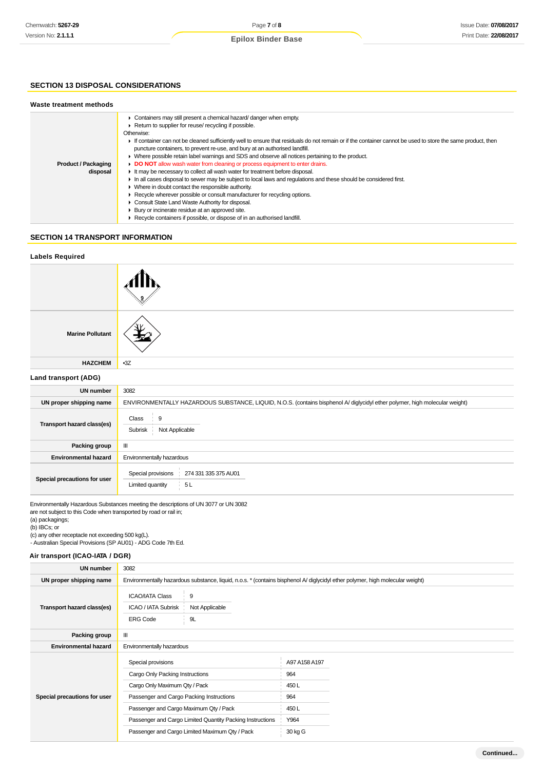# **SECTION 13 DISPOSAL CONSIDERATIONS**

| Waste treatment methods                |                                                                                                                                                                                                                                                                                                                                                                                                                                                                                                                                                                                                                                                                                                                                                                                                                                                                                                                                                                                                                                                                                                                                 |  |
|----------------------------------------|---------------------------------------------------------------------------------------------------------------------------------------------------------------------------------------------------------------------------------------------------------------------------------------------------------------------------------------------------------------------------------------------------------------------------------------------------------------------------------------------------------------------------------------------------------------------------------------------------------------------------------------------------------------------------------------------------------------------------------------------------------------------------------------------------------------------------------------------------------------------------------------------------------------------------------------------------------------------------------------------------------------------------------------------------------------------------------------------------------------------------------|--|
| <b>Product / Packaging</b><br>disposal | • Containers may still present a chemical hazard/danger when empty.<br>▶ Return to supplier for reuse/ recycling if possible.<br>Otherwise:<br>If container can not be cleaned sufficiently well to ensure that residuals do not remain or if the container cannot be used to store the same product, then<br>puncture containers, to prevent re-use, and bury at an authorised landfill.<br>• Where possible retain label warnings and SDS and observe all notices pertaining to the product.<br>DO NOT allow wash water from cleaning or process equipment to enter drains.<br>It may be necessary to collect all wash water for treatment before disposal.<br>In all cases disposal to sewer may be subject to local laws and regulations and these should be considered first.<br>$\triangleright$ Where in doubt contact the responsible authority.<br>► Recycle wherever possible or consult manufacturer for recycling options.<br>• Consult State Land Waste Authority for disposal.<br>▶ Bury or incinerate residue at an approved site.<br>▶ Recycle containers if possible, or dispose of in an authorised landfill. |  |

# **SECTION 14 TRANSPORT INFORMATION**

| <b>Labels Required</b>       |                                                                                                                             |  |  |
|------------------------------|-----------------------------------------------------------------------------------------------------------------------------|--|--|
|                              |                                                                                                                             |  |  |
| <b>Marine Pollutant</b>      |                                                                                                                             |  |  |
| <b>HAZCHEM</b>               | $-3Z$                                                                                                                       |  |  |
| Land transport (ADG)         |                                                                                                                             |  |  |
| <b>UN number</b>             | 3082                                                                                                                        |  |  |
| UN proper shipping name      | ENVIRONMENTALLY HAZARDOUS SUBSTANCE, LIQUID, N.O.S. (contains bisphenol A/ diglycidyl ether polymer, high molecular weight) |  |  |
| Transport hazard class(es)   | 9<br>Class<br>Not Applicable<br>Subrisk                                                                                     |  |  |
| Packing group                | Ш                                                                                                                           |  |  |
| <b>Environmental hazard</b>  | Environmentally hazardous                                                                                                   |  |  |
| Special precautions for user | 274 331 335 375 AU01<br>Special provisions<br>5L<br>Limited quantity                                                        |  |  |
|                              | Environmentally Hazardous Substances meeting the descriptions of UN 3077 or UN 3082                                         |  |  |

are not subject to this Code when transported by road or rail in;

(a) packagings;

(b) IBCs; or

(c) any other receptacle not exceeding 500 kg(L). - Australian Special Provisions (SP AU01) - ADG Code 7th Ed.

# **Air transport (ICAO-IATA / DGR)**

| UN number                    | 3082                                                                                                                                                                                                                                                                                        |                                                                 |  |
|------------------------------|---------------------------------------------------------------------------------------------------------------------------------------------------------------------------------------------------------------------------------------------------------------------------------------------|-----------------------------------------------------------------|--|
| UN proper shipping name      | Environmentally hazardous substance, liquid, n.o.s. * (contains bisphenol A/ diglycidyl ether polymer, high molecular weight)                                                                                                                                                               |                                                                 |  |
| Transport hazard class(es)   | <b>ICAO/IATA Class</b><br>9<br>ICAO / IATA Subrisk<br>Not Applicable<br>9L<br><b>ERG Code</b>                                                                                                                                                                                               |                                                                 |  |
| Packing group                | Ш                                                                                                                                                                                                                                                                                           |                                                                 |  |
| <b>Environmental hazard</b>  | Environmentally hazardous                                                                                                                                                                                                                                                                   |                                                                 |  |
| Special precautions for user | Special provisions<br>Cargo Only Packing Instructions<br>Cargo Only Maximum Qty / Pack<br>Passenger and Cargo Packing Instructions<br>Passenger and Cargo Maximum Qty / Pack<br>Passenger and Cargo Limited Quantity Packing Instructions<br>Passenger and Cargo Limited Maximum Qty / Pack | A97 A158 A197<br>964<br>450 L<br>964<br>450L<br>Y964<br>30 kg G |  |